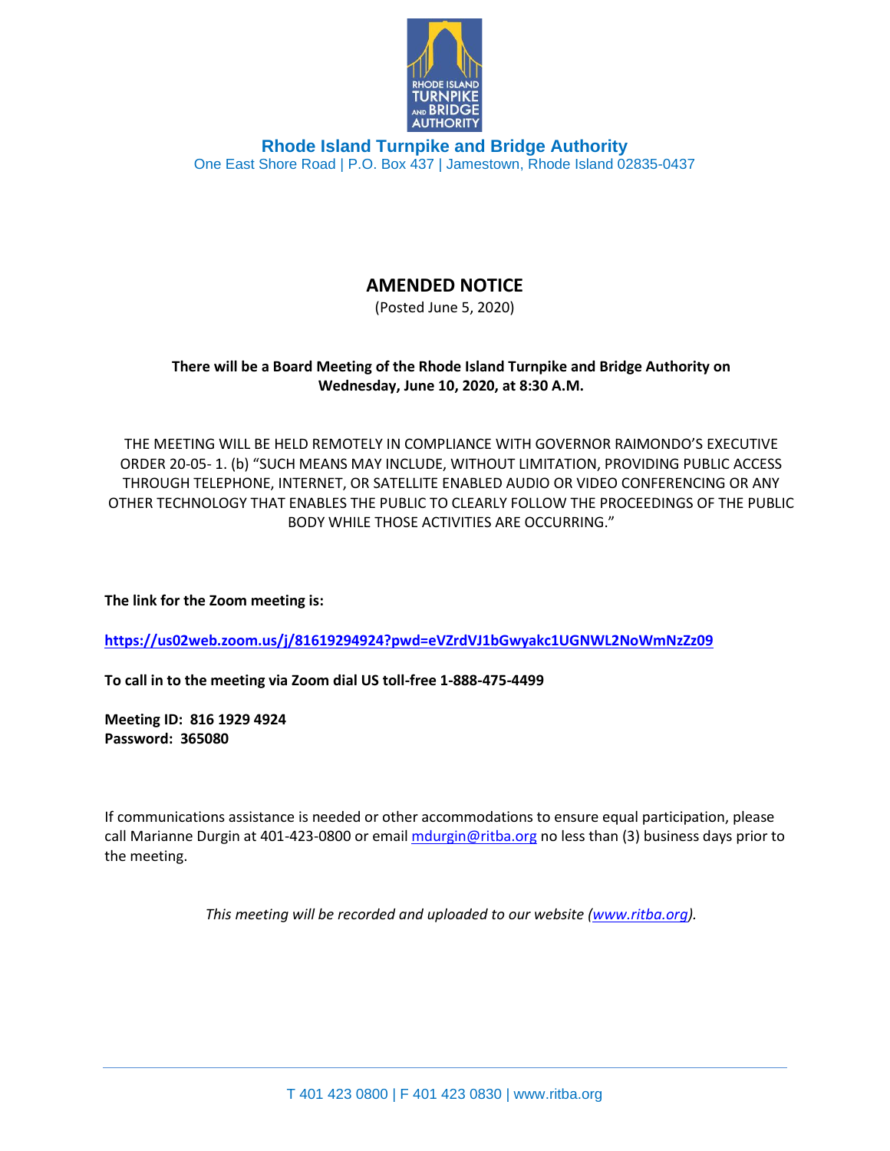

**Rhode Island Turnpike and Bridge Authority** One East Shore Road | P.O. Box 437 | Jamestown, Rhode Island 02835-0437

## **AMENDED NOTICE**

(Posted June 5, 2020)

## **There will be a Board Meeting of the Rhode Island Turnpike and Bridge Authority on Wednesday, June 10, 2020, at 8:30 A.M.**

THE MEETING WILL BE HELD REMOTELY IN COMPLIANCE WITH GOVERNOR RAIMONDO'S EXECUTIVE ORDER 20-05- 1. (b) "SUCH MEANS MAY INCLUDE, WITHOUT LIMITATION, PROVIDING PUBLIC ACCESS THROUGH TELEPHONE, INTERNET, OR SATELLITE ENABLED AUDIO OR VIDEO CONFERENCING OR ANY OTHER TECHNOLOGY THAT ENABLES THE PUBLIC TO CLEARLY FOLLOW THE PROCEEDINGS OF THE PUBLIC BODY WHILE THOSE ACTIVITIES ARE OCCURRING."

**The link for the Zoom meeting is:** 

**<https://us02web.zoom.us/j/81619294924?pwd=eVZrdVJ1bGwyakc1UGNWL2NoWmNzZz09>**

**To call in to the meeting via Zoom dial US toll-free 1-888-475-4499**

**Meeting ID: 816 1929 4924 Password: 365080**

If communications assistance is needed or other accommodations to ensure equal participation, please call Marianne Durgin at 401-423-0800 or email [mdurgin@ritba.org](mailto:mdurgin@ritba.org) no less than (3) business days prior to the meeting.

*This meeting will be recorded and uploaded to our website [\(www.ritba.org\)](http://www.ritba.org/).*